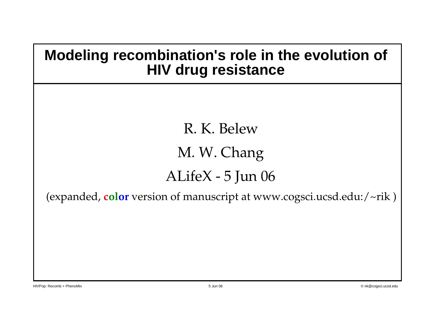#### **Modeling recombination's role in the evolution of HIV drug resistance**

R. K. Belew M. W. Chang ALifeX - 5 Jun 06

(expanded, **color** version of manuscript at www.cogsci.ucsd.edu:/~rik )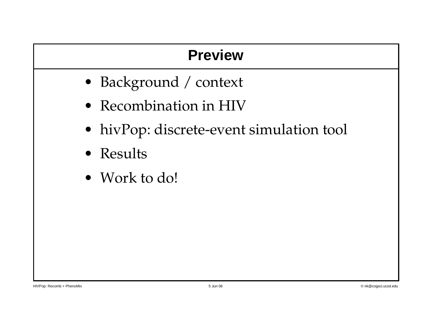#### **Preview**

- Background / context
- Recombination in HIV
- hivPop: discrete-event simulation tool
- Results
- Work to do!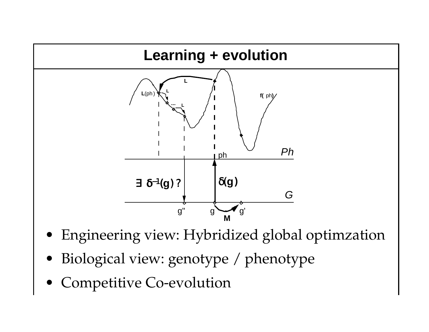

- Engineering view: Hybridized global optimzation
- Biological view: genotype / phenotype
- Competitive Co-evolution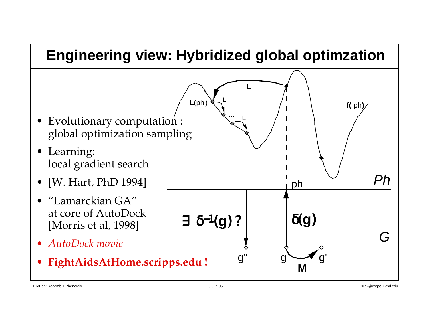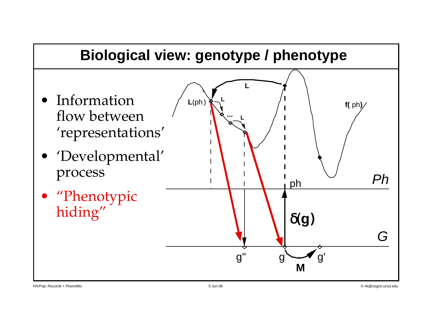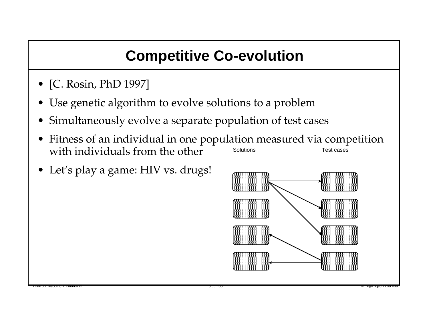# **Competitive Co-evolution**

- [C. Rosin, PhD 1997]
- Use genetic algorithm to evolve solutions to a problem
- Simultaneously evolve a separate population of test cases
- Fitness of an individual in one population measured via competition with individuals from the other Solutions Test cases
- Let's play a game: HIV vs. drugs!

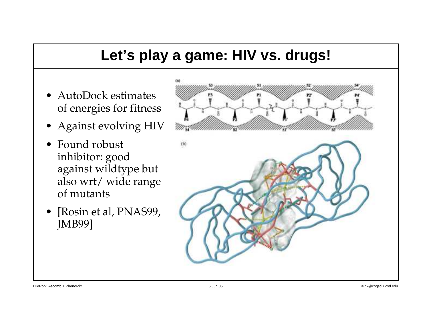#### **Let's play a game: HIV vs. drugs!**

- AutoDock estimates of energies for fitness
- Against evolving HIV
- Found robust inhibitor: good against wildtype but also wrt/ wide range of mutants
- [Rosin et al, PNAS99, JMB99]

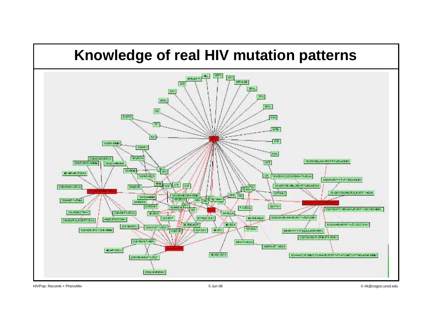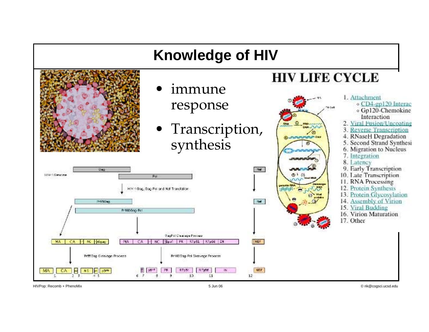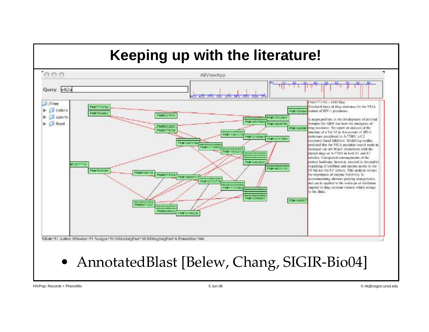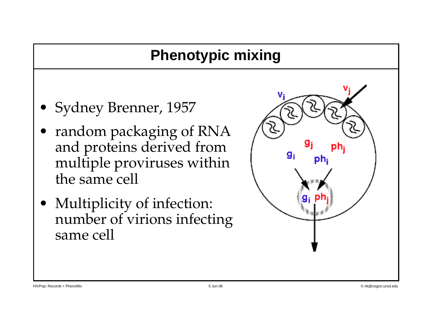### **Phenotypic mixing**

- Sydney Brenner, 1957
- random packaging of RNA and proteins derived from multiple proviruses within the same cell
- Multiplicity of infection: number of virions infecting same cell

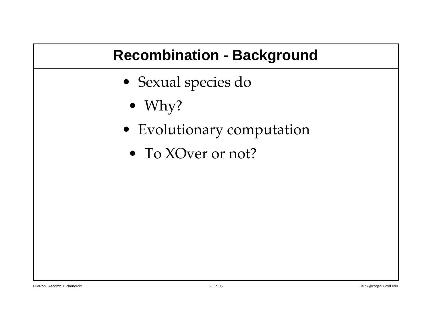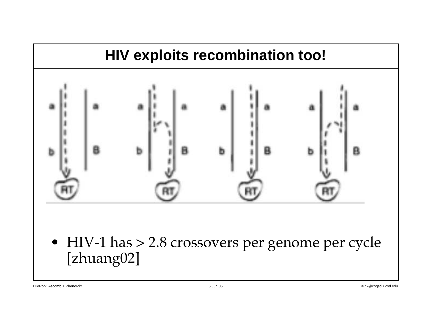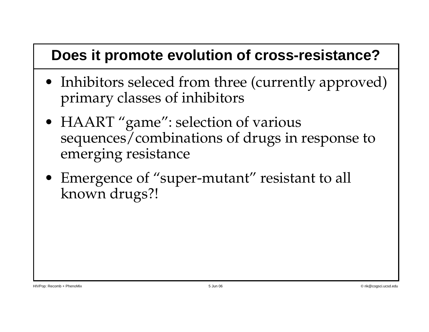#### **Does it promote evolution of cross-resistance?**

- Inhibitors seleced from three (currently approved) primary classes of inhibitors
- HAART "game": selection of various sequences/combinations of drugs in response to emerging resistance
- Emergence of "super-mutant" resistant to all known drugs?!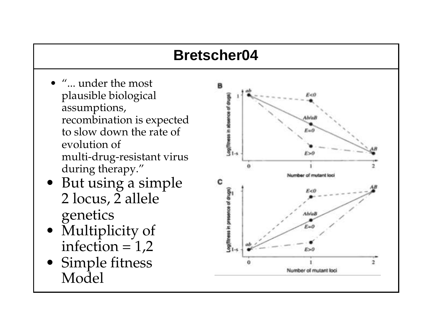# **Bretscher04**

- "... under the most plausible biological assumptions, recombination is expected to slow down the rate of evolution of multi-drug-resistant virus during therapy."
- But using a simple 2 locus, 2 allele genetics
- Multiplicity of infection  $= 1,2$
- Simple fitness Model

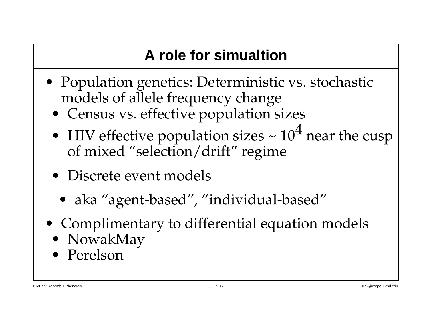# **A role for simualtion**

- Population genetics: Deterministic vs. stochastic models of allele frequency change
	- Census vs. effective population sizes
	- HIV effective population sizes  $\sim 10^4$  near the cusp of mixed "selection/drift" regime
	- Discrete event models
		- aka "agent-based", "individual-based"
- Complimentary to differential equation models
	- NowakMay
	- Perelson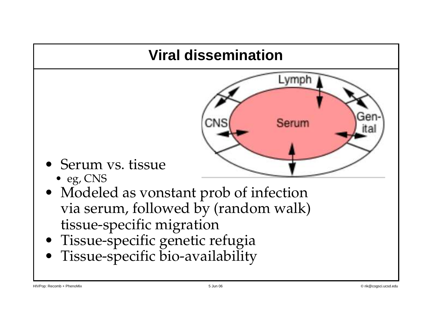# **Viral dissemination**



- Serum vs. tissue
	- eg, CNS
- Modeled as vonstant prob of infection via serum, followed by (random walk) tissue-specific migration
- Tissue-specific genetic refugia
- Tissue-specific bio-availability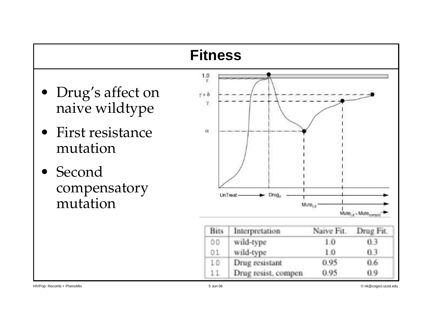| <b>Fitness</b>                       |                                             |                     |                    |                                              |  |
|--------------------------------------|---------------------------------------------|---------------------|--------------------|----------------------------------------------|--|
| • Drug's affect on<br>naive wildtype | $\frac{1.0}{\epsilon}$<br>$y + \delta$<br>γ |                     |                    |                                              |  |
| First resistance<br>mutation         | $\alpha$                                    |                     |                    |                                              |  |
| Second<br>compensatory<br>mutation   |                                             | UnTreat<br>Drug.    | Mute <sub>ud</sub> | Mule <sub>Ld</sub> + Mule <sub>compili</sub> |  |
|                                      | <b>Bits</b>                                 | Interpretation      | Naive Fit.         | Drug Fit.                                    |  |
|                                      | D.D                                         | wild-type           | 1.0                | 0.3                                          |  |
|                                      | 01                                          | wild-type           | 1.0                | 0.3                                          |  |
|                                      | 10                                          | Drug resistant      | 0.95               | 0.6                                          |  |
|                                      | 11                                          | Drug resist, compen | 0.95               | 0.9                                          |  |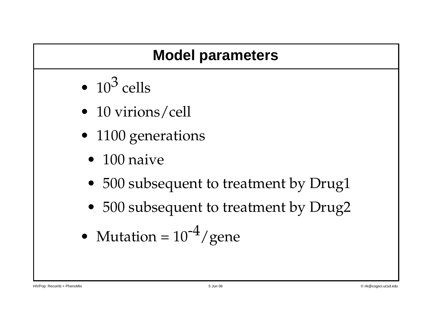## **Model parameters**

- $\cdot$  10<sup>3</sup> cells
- 10 virions/cell
- 1100 generations
	- $\bullet$  100 naive
	- 500 subsequent to treatment by Drug1
	- 500 subsequent to treatment by Drug2
- Mutation =  $10^{-4}$ /gene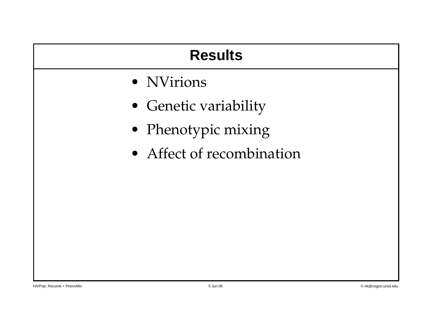| <b>Results</b>            |  |  |
|---------------------------|--|--|
| • NVirions                |  |  |
| • Genetic variability     |  |  |
| • Phenotypic mixing       |  |  |
| • Affect of recombination |  |  |
|                           |  |  |
|                           |  |  |
|                           |  |  |
|                           |  |  |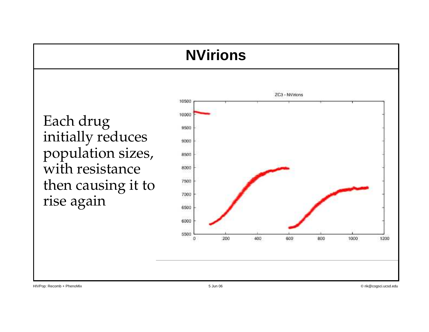#### **NVirions**

Each drug initially reduces population sizes, with resistance then causing it to rise again

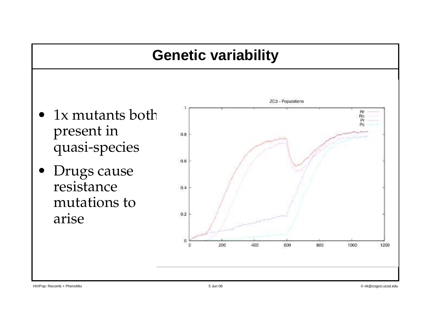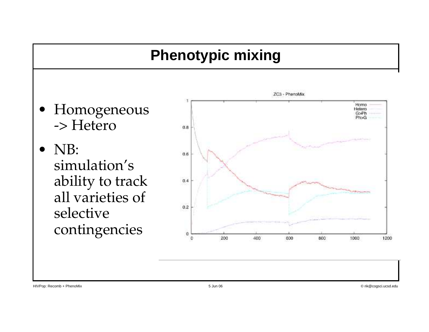### **Phenotypic mixing**

- Homogeneous -> Hetero
- NB: simulation's ability to track all varieties of selective contingencies

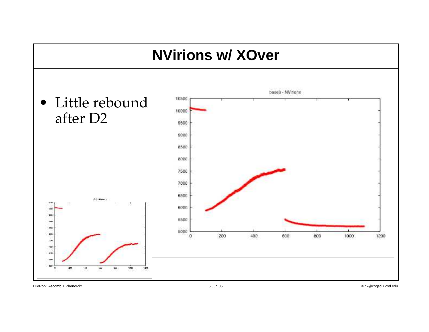![](_page_23_Figure_0.jpeg)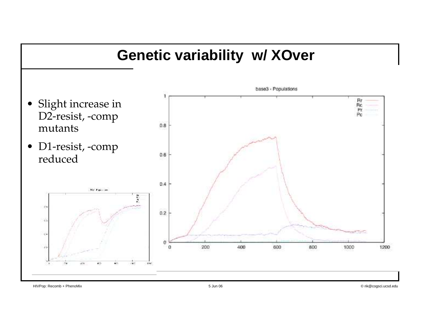![](_page_24_Figure_0.jpeg)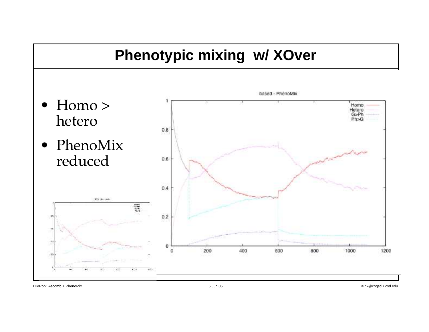![](_page_25_Figure_0.jpeg)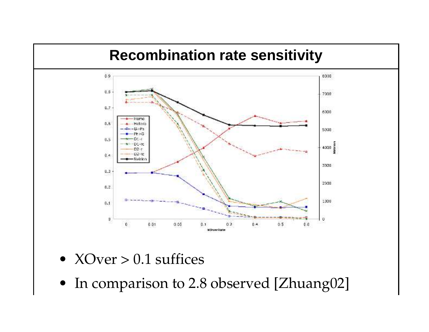![](_page_26_Figure_0.jpeg)

- $XOver > 0.1$  suffices
- In comparison to 2.8 observed [Zhuang02]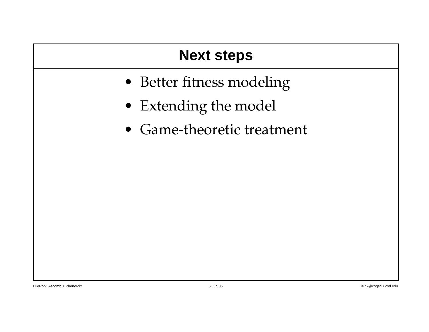### **Next steps**

- Better fitness modeling
- Extending the model
- Game-theoretic treatment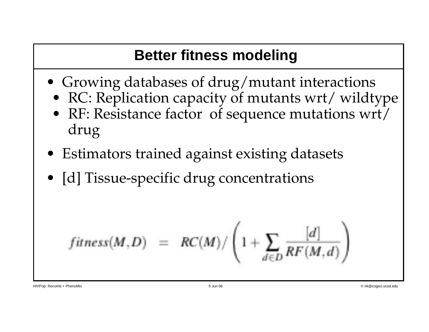# **Better fitness modeling**

- Growing databases of drug/mutant interactions
	- RC: Replication capacity of mutants wrt/ wildtype
	- RF: Resistance factor of sequence mutations wrt/ drug
- Estimators trained against existing datasets
- [d] Tissue-specific drug concentrations

$$
fitness(M, D) = RC(M)/\left(1 + \sum_{d \in D} \frac{[d]}{RF(M, d)}\right)
$$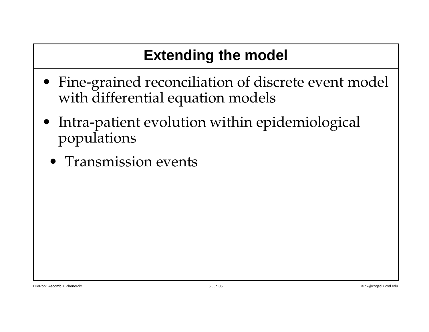# **Extending the model**

- Fine-grained reconciliation of discrete event model with differential equation models
- Intra-patient evolution within epidemiological populations
	- Transmission events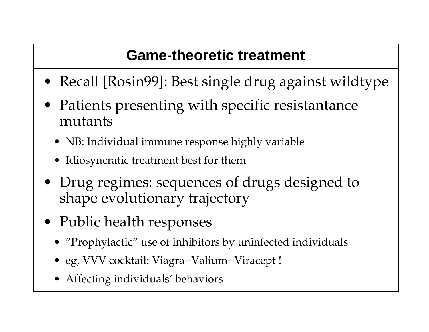# **Game-theoretic treatment**

- Recall [Rosin99]: Best single drug against wildtype
- Patients presenting with specific resistantance mutants
	- NB: Individual immune response highly variable
	- Idiosyncratic treatment best for them
- Drug regimes: sequences of drugs designed to shape evolutionary trajectory
- Public health responses
	- "Prophylactic" use of inhibitors by uninfected individuals
	- eg, VVV cocktail: Viagra+Valium+Viracept !
- $\mathcal{L}$ • Affecting individuals' behaviors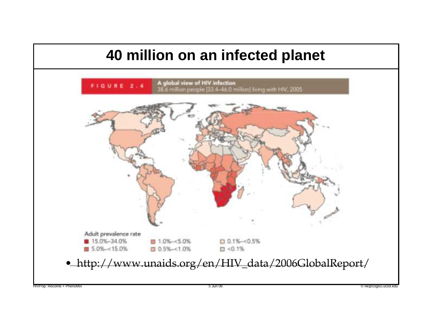![](_page_31_Figure_0.jpeg)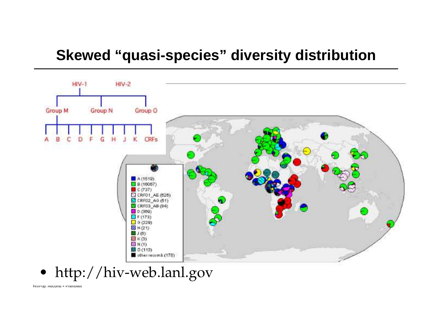#### **Skewed "quasi-species" diversity distribution**

![](_page_32_Figure_1.jpeg)

# • http://hiv-web.lanl.gov

HIVPop: Recomb + PhenoMix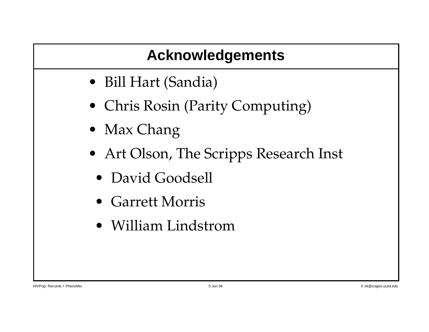# **Acknowledgements**

- Bill Hart (Sandia)
- Chris Rosin (Parity Computing)
- Max Chang
- Art Olson, The Scripps Research Inst
	- David Goodsell
	- Garrett Morris
	- William Lindstrom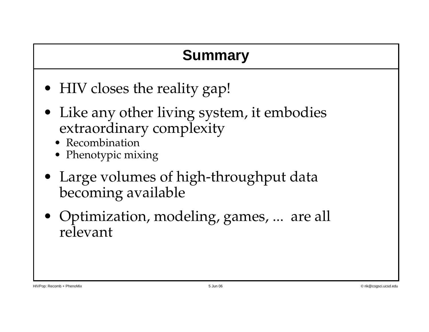### **Summary**

- HIV closes the reality gap!
- Like any other living system, it embodies extraordinary complexity
	- **Recombination**
	- Phenotypic mixing
- Large volumes of high-throughput data becoming available
- Optimization, modeling, games, ... are all relevant